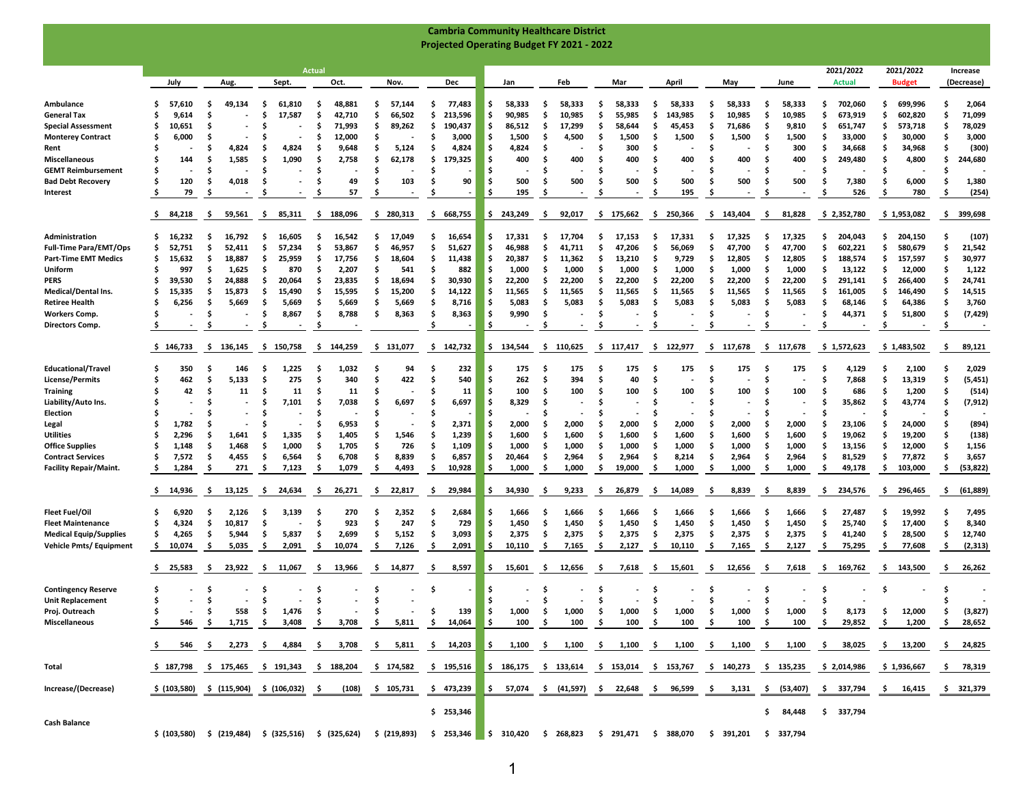|                                                                 |                           |                           |                                           |                                                                             |                          |                                                                                               |                           | <b>Cambria Community Healthcare District</b> |                                                                                              |                            |                            |                            |                             |                               |                        |
|-----------------------------------------------------------------|---------------------------|---------------------------|-------------------------------------------|-----------------------------------------------------------------------------|--------------------------|-----------------------------------------------------------------------------------------------|---------------------------|----------------------------------------------|----------------------------------------------------------------------------------------------|----------------------------|----------------------------|----------------------------|-----------------------------|-------------------------------|------------------------|
|                                                                 |                           |                           |                                           |                                                                             |                          | <b>Projected Operating Budget FY 2021 - 2022</b>                                              |                           |                                              |                                                                                              |                            |                            |                            |                             |                               |                        |
|                                                                 |                           |                           |                                           |                                                                             |                          |                                                                                               |                           |                                              |                                                                                              |                            |                            |                            |                             |                               |                        |
|                                                                 | July                      | Aug.                      | Sept.                                     | <b>Actual</b><br>Oct.                                                       | Nov.                     | Dec                                                                                           | Jan                       | Feb                                          | Mar                                                                                          | April                      | May                        | June                       | 2021/2022<br><b>Actual</b>  | 2021/2022<br><b>Budget</b>    | Increase<br>(Decrease) |
|                                                                 |                           |                           |                                           |                                                                             |                          |                                                                                               |                           |                                              |                                                                                              |                            |                            |                            |                             |                               |                        |
| Ambulance                                                       | S<br>57,610               | 49,134<br>s               | 61,810<br>s                               | 48,881<br>-S                                                                | 57,144<br>s              | 77,483<br>-S                                                                                  | 58,333<br>S               | 58,333<br>S                                  | 58,333<br>s.                                                                                 | 58,333<br>.S               | 58,333<br>.s               | 58,333<br>S                | 702,060<br>S                | Ś.<br>699,996                 | 2,064                  |
| <b>General Tax</b>                                              | \$<br>9,614               | S                         | 17,587<br>S                               | 42,710<br>.S                                                                | 66,502<br>S              | Ŝ<br>213,596                                                                                  | 90,985<br>\$              | 10,985<br>S                                  | Ŝ.<br>55,985                                                                                 | 143,985<br>S               | 10,985<br>.s               | 10,985<br>S                | 673,919<br>S                | \$<br>602,820                 | 71,099                 |
| <b>Special Assessment</b>                                       | \$<br>10,651              | S                         | S                                         | 71,993<br>.s                                                                | 89,262<br>-S             | \$<br>190,437                                                                                 | 86,512<br>S               | 17,299<br>-S                                 | \$<br>58,644                                                                                 | 45,453<br>\$.              | 71,686<br>-S               | 9,810<br>S                 | 651,747<br>S                | \$<br>573,718                 | 78,029                 |
| <b>Monterey Contract</b><br>Rent                                | 6,000<br>s<br>\$          | Ś<br>4,824                | s<br>4,824<br>\$                          | .s<br>12,000<br>9,648<br>.s                                                 | S<br>5,124<br>.s         | Ŝ<br>3,000<br>\$.<br>4,824                                                                    | -S<br>1,500<br>4,824<br>Ŝ | -S<br>4,500<br>\$.                           | 1,500<br>S<br>300                                                                            | .s<br>1,500<br>Ś.          | 1,500<br>Ŝ                 | 1,500<br>-S<br>300<br>S    | \$<br>33,000<br>Ś<br>34,668 | \$.<br>30,000<br>\$<br>34,968 | 3,000<br>(300)<br>Ŝ    |
| <b>Miscellaneous</b>                                            | 144<br>S                  | 1,585<br>S                | \$<br>1,090                               | . Ś<br>2,758                                                                | Ŝ<br>62,178              | \$<br>179,325                                                                                 | 400<br>S                  | 400<br>.s                                    | 400                                                                                          | Ś.<br>400                  | 400<br>Ŝ                   | 400<br>S                   | Ŝ<br>249,480                | \$<br>4,800                   | 244,680<br>Ŝ           |
| <b>GEMT Reimbursement</b>                                       | S                         | \$.                       | S                                         | .S                                                                          | .s                       | .S                                                                                            |                           | S                                            | s.                                                                                           | .s                         | .s                         | S                          | S                           | \$                            |                        |
| <b>Bad Debt Recovery</b>                                        | \$<br>120                 | 4,018<br>S                | s<br>٠                                    | 49<br>-S                                                                    | 103<br>.s                | Ŝ<br>90                                                                                       | 500<br>. Ś                | 500<br>.s                                    | 500<br>S                                                                                     | 500<br>.s                  | 500<br>-S                  | 500<br>S                   | 7,380<br>S                  | \$<br>6,000                   | 1,380<br>s             |
| Interest                                                        | 79<br>s                   | S                         | s                                         | 57<br>S                                                                     | S                        | .s                                                                                            | 195<br>.s                 | S                                            |                                                                                              | 195<br>.s                  |                            | S                          | 526                         | 780<br>s                      | (254)<br>.s            |
|                                                                 | 84,218<br>Ş.              | -\$<br>59,561             | \$.<br>85,311                             | 188,096<br>-\$                                                              | 280,313<br>-S            | \$<br>668,755                                                                                 | 243,249<br>\$.            | -\$<br>92,017                                | 175,662<br>s.                                                                                | 250,366<br>-\$             | -S<br>143,404              | 81,828<br>-\$              | \$2,352,780                 | \$1,953,082                   | 399,698<br>\$          |
| Administration                                                  | \$<br>16,232              | 16,792<br>s.              | 16.605<br>s                               | 16,542<br>-S                                                                | Ŝ<br>17,049              | 16,654<br>-S                                                                                  | 17,331<br>S               | S<br>17.704                                  | 17,153<br>.s                                                                                 | 17,331<br>-S               | 17,325<br>.s               | 17,325<br>S                | 204,043<br>S                | Ś.<br>204,150                 | (107)                  |
| <b>Full-Time Para/EMT/Ops</b>                                   | \$.<br>52,751             | Ŝ.<br>52,411              | .s<br>57,234                              | 53,867<br>.S                                                                | 46,957<br>S              | Ŝ<br>51,627                                                                                   | Ŝ<br>46,988               | S<br>41,711                                  | 47,206<br>s.                                                                                 | .s<br>56,069               | .s<br>47,700               | Ś<br>47,700                | Ś<br>602,221                | Ś.<br>580,679                 | 21,542                 |
| <b>Part-Time EMT Medics</b>                                     | \$<br>15,632              | 18,887<br>S               | 25,959<br>s                               | 17,756<br>.s                                                                | S<br>18,604              | \$<br>11,438                                                                                  | \$<br>20,387              | .s<br>11,362                                 | 13,210<br>s.                                                                                 | .s<br>9,729                | 12,805<br>-S               | 12,805<br>S                | 188,574<br>\$               | \$<br>157,597                 | 30,977                 |
| Uniform                                                         | S<br>997                  | 1,625<br>.s               | S<br>870                                  | 2,207<br>.S                                                                 | 541<br>S                 | 882<br>.s                                                                                     | 1,000<br>-S               | .s<br>1,000                                  | 1,000<br>s                                                                                   | 1,000<br>.s                | 1,000<br>-S                | 1,000<br>S                 | 13,122<br>S                 | \$.<br>12,000                 | 1,122                  |
| PERS                                                            | \$<br>39,530              | S<br>24,888               | s<br>20,064                               | Ŝ<br>23,835                                                                 | .s<br>18,694             | Ŝ<br>30,930                                                                                   | \$.<br>22,200             | S<br>22,200                                  | 22,200<br>s.                                                                                 | .s<br>22,200               | .s<br>22,200               | 22,200<br>S                | S<br>291,141                | \$<br>266,400                 | 24,741                 |
| <b>Medical/Dental Ins.</b>                                      | \$<br>15,335              | Ś<br>15,873               | 15,490<br>S                               | 15,595<br>Ŝ                                                                 | 15,200<br>.s             | Ŝ<br>14,122                                                                                   | \$.<br>11,565             | Ś.<br>11,565                                 | 11,565<br>s.                                                                                 | Ŝ<br>11,565                | 11,565<br>Ŝ                | Ś<br>11,565                | Ś<br>161,005                | \$<br>146,490                 | 14,515                 |
| <b>Retiree Health</b>                                           | 6,256<br>S                | 5,669<br>.s               | \$.<br>5,669                              | .s<br>5,669                                                                 | 5,669<br>.s              | 8,716<br>.s                                                                                   | 5,083<br>-S               | 5,083<br>.s                                  | 5,083<br>s.                                                                                  | 5,083<br>-S                | 5,083<br>.s                | 5,083<br>.s                | 68,146<br>.s                | \$.<br>64,386                 | 3,760                  |
| <b>Workers Comp.</b>                                            | S                         | .s                        | -S<br>8,867                               | .s<br>8,788                                                                 | 8,363<br>.s              | 8,363<br>-S                                                                                   | .s<br>9,990               | -S                                           | s.                                                                                           | S                          | .s                         | Ś.                         | S<br>44,371                 | \$<br>51,800                  | (7, 429)<br>-S         |
| Directors Comp.                                                 | Ş                         | S                         | Ş                                         | -S                                                                          |                          | -S                                                                                            | -S                        | .s                                           | <b>s</b>                                                                                     | -\$                        | -\$                        | .s                         | Ş,                          | .s                            | -S                     |
|                                                                 | \$146,733                 | - \$<br>136,145           | \$150,758                                 | -\$<br>144,259                                                              | 131,077<br>\$.           | \$142,732                                                                                     | -S<br>134,544             | -S<br>110,625                                | -S<br>117,417                                                                                | -S<br>122,977              | - \$<br>117,678            | -S<br>117,678              | \$1,572,623                 | \$1,483,502                   | -\$<br>89,121          |
| <b>Educational/Travel</b>                                       | 350<br>S                  | 146<br>S                  | 1,225<br>s                                | 1,032<br>.S                                                                 | 94                       | 232<br>S                                                                                      | 175<br>S                  | 175<br>-S                                    | 175<br>S                                                                                     | 175<br>-S                  | 175                        | 175<br>S                   | 4,129<br>S                  | \$<br>2,100                   | 2,029                  |
| <b>License/Permits</b>                                          | 462<br>S                  | 5,133<br>S                | 275<br>.s                                 | 340<br>.S                                                                   | 422<br>S                 | Ŝ<br>540                                                                                      | 262<br>Ŝ                  | -Ś<br>394                                    | 40<br>s.                                                                                     | \$                         | .s                         | S                          | 7,868<br>S                  | \$<br>13,319                  | (5, 451)               |
| <b>Training</b>                                                 | Ś<br>42                   | S<br>11                   | 11<br>S                                   | 11                                                                          | s                        | Ŝ<br>11                                                                                       | 100<br>Ŝ                  | 100<br>.s                                    | 100                                                                                          | 100<br>.s                  | 100                        | 100<br>S                   | 686<br>S                    | \$<br>1,200                   | (514)                  |
| Liability/Auto Ins.                                             | s                         | S                         | 7,101<br>S                                | 7,038<br>S                                                                  | 6,697<br>S               | 6,697<br>.S                                                                                   | . Ś<br>8,329              | S                                            | s.                                                                                           | s                          | S                          | S                          | 35,862<br>S                 | 43,774<br>\$.                 | (7, 912)               |
| Election                                                        | S                         | s                         | S                                         |                                                                             |                          |                                                                                               |                           | S                                            |                                                                                              | S                          |                            | S                          | S                           | \$                            |                        |
| Legal                                                           | \$<br>1,782               | S                         | S                                         | 6,953<br>Ŝ                                                                  |                          | Ŝ<br>2,371                                                                                    | 2,000<br>S                | 2,000<br>.s                                  | 2,000                                                                                        | 2,000<br>.s                | 2,000<br>-S                | 2,000<br>S                 | 23,106<br>S                 | \$<br>24,000                  | (894)                  |
| <b>Utilities</b>                                                | 2,296<br>Ŝ                | 1,641<br>s                | \$<br>1,335                               | 1,405<br>.s                                                                 | 1,546<br>S               | Ŝ<br>1,239<br>. Ś                                                                             | 1,600<br>S<br>-S          | 1,600<br>S                                   | 1,600<br>Ŝ                                                                                   | 1,600<br>.s                | 1,600<br>-S                | 1,600<br>S                 | 19,062<br>S                 | \$<br>19,200                  | (138)                  |
| <b>Office Supplies</b><br><b>Contract Services</b>              | S<br>1,148<br>\$<br>7,572 | 1,468<br>S<br>4,455<br>.s | 1,000<br>-S<br>6,564<br>-S                | 1,705<br>.s<br>6,708<br>.s                                                  | 726<br>.s<br>8,839<br>.s | 1,109<br>. Ś<br>6,857                                                                         | 1,000<br>\$<br>20,464     | 1,000<br>-S<br>2,964<br>.s                   | 1,000<br>2,964<br>s.                                                                         | 1,000<br>-S<br>8,214<br>.s | 1,000<br>2,964<br>-S       | 1,000<br>.s<br>2,964<br>.s | 13,156<br>.s<br>81,529<br>S | \$<br>12,000<br>\$<br>77,872  | 1,156<br>3,657         |
| <b>Facility Repair/Maint.</b>                                   | \$.<br>1,284              | 271<br>.s                 | 7,123<br>Ŝ                                | 1,079<br>.s                                                                 | 4,493<br>.s              | 10,928<br>\$.                                                                                 | -\$<br>1,000              | 1,000<br>.s                                  | 19,000<br>s.                                                                                 | 1,000<br>.s                | 1,000<br>.s                | 1,000<br>-S                | 49,178<br>S                 | 103,000<br>\$.                | (53, 822)<br>.s        |
|                                                                 |                           |                           |                                           |                                                                             |                          |                                                                                               |                           |                                              |                                                                                              |                            |                            |                            |                             |                               |                        |
|                                                                 | \$14,936                  | -\$<br>13,125             | 24,634<br>Ş                               | -\$<br>26,271                                                               | 22,817<br>Ş              | \$.<br>29,984                                                                                 | -S<br>34,930              | -\$<br>9,233                                 | 26,879<br>-S                                                                                 | -S<br>14,089               | -\$<br>8,839               | -\$<br>8,839               | .s<br>234,576               | \$.<br>296,465                | \$<br>(61, 889)        |
| <b>Fleet Fuel/Oil</b>                                           | 6,920<br>S                | 2,126<br>.s               | 3,139<br>s                                | 270<br>S                                                                    | 2,352<br>.s              | 2,684<br>S                                                                                    | 1,666<br>Ŝ                | 1,666<br>S                                   | 1,666<br>S                                                                                   | 1,666<br>-S                | 1,666<br>s                 | 1,666<br>S                 | 27,487<br>s                 | 19,992<br>s                   | 7,495                  |
| <b>Fleet Maintenance</b>                                        | \$<br>4,324               | \$<br>10,817              | .s                                        | 923<br>Ŝ.                                                                   | 247<br>Ŝ                 | \$<br>729                                                                                     | 1,450<br>Ŝ                | 1,450<br>.s                                  | 1,450<br>s.                                                                                  | \$<br>1,450                | 1,450<br>.s                | Ŝ<br>1,450                 | \$<br>25,740                | Ŝ<br>17,400                   | 8,340                  |
| <b>Medical Equip/Supplies</b><br><b>Vehicle Pmts/ Equipment</b> | \$<br>4,265               | -S<br>5,944<br>.s         | 5,837<br>-S<br>s                          | 2,699<br>.s<br>.s                                                           | 5,152<br>.s<br>.s        | . Ś<br>3,093<br>2,091                                                                         | \$<br>2,375<br>-\$        | 2,375<br>.s<br>.s                            | 2,375<br>s.<br>s.                                                                            | 2,375<br>-S<br>-S          | 2,375<br>.s<br>.s          | 2,375<br>.s<br>-Ś          | 41,240<br>.s<br>S           | \$<br>28,500<br>77,608        | 12,740<br>.s<br>.s     |
|                                                                 | \$.<br>10,074             | 5,035                     | 2,091                                     | 10,074                                                                      | 7,126                    | \$.                                                                                           | 10,110                    | 7,165                                        | 2,127                                                                                        | 10,110                     | 7,165                      | 2,127                      | 75,295                      | \$.                           | (2, 313)               |
|                                                                 | \$25,583                  | -S<br>23,922              | 11,067<br>-S                              | - \$<br>13,966                                                              | 14,877<br>-\$            | \$<br>8,597                                                                                   | -\$<br>15,601             | -\$<br>12,656                                | 7,618<br>-\$                                                                                 | 15,601<br>-\$              | 12,656<br>-\$              | - \$<br>7,618              | 169,762<br>- \$             | \$.<br>143,500                | -\$<br>26,262          |
| <b>Contingency Reserve</b>                                      | s                         | s                         | -S                                        | S                                                                           | -S                       | .s                                                                                            | .s                        | .s                                           | S                                                                                            | -S                         | s                          | S                          | S                           | \$.                           | -S                     |
| <b>Unit Replacement</b>                                         | \$.                       | Ś                         | -S                                        | .s                                                                          | Ś                        |                                                                                               |                           | Ś.                                           | s.                                                                                           | Ŝ                          | .s                         | S                          | Ś                           |                               |                        |
| Proj. Outreach                                                  |                           | 558                       | \$<br>1,476                               | \$                                                                          |                          | -\$<br>$139$ \$                                                                               | 1,000                     | \$<br>1,000                                  | \$<br>1,000                                                                                  | - \$<br>1,000              | - \$<br>1,000              | \$<br>1,000                | \$<br>8,173                 | \$<br>12,000                  | \$<br>(3,827)          |
| Miscellaneous                                                   | \$.                       | 546 \$ 1,715              | \$3,408                                   | \$3,708                                                                     |                          | $$5,811 \quad $14,064$                                                                        | ∥ \$<br>100               | - \$<br>100                                  | - \$<br>100                                                                                  | \$<br>100                  | $\ddot{\mathbf{S}}$<br>100 | - \$<br>100                | \$<br>29,852                | \$<br>1,200                   | -S<br>28,652           |
|                                                                 | Ş.                        |                           |                                           | 546 \$ 2,273 \$ 4,884 \$ 3,708                                              |                          | $\frac{1}{2}$ 5,811 \$ 14,203 \$ 1,100 \$ 1,100 \$ 1,100 \$ 1,100 \$ 1,100 \$ 1,100 \$ 38,025 |                           |                                              |                                                                                              |                            |                            |                            |                             | \$ 13,200                     | -\$<br>24,825          |
| Total                                                           |                           |                           |                                           | $$187,798$ $$175,465$ $$191,343$ $$188,204$                                 | \$174,582                | \$195,516                                                                                     |                           |                                              | $\frac{1}{2}$ \$ 186,175 \$ 133,614 \$ 153,014 \$ 153,767 \$ 140,273 \$ 135,235 \$ 2,014,986 |                            |                            |                            |                             | \$1,936,667                   | \$78,319               |
| Increase/(Decrease)                                             |                           |                           | \$ (103,580) \$ (115,904) \$ (106,032) \$ | (108)                                                                       | \$105,731                | \$473,239                                                                                     |                           |                                              | $\frac{1}{2}$ \$ 57,074 \$ (41,597) \$ 22,648 \$ 96,599 \$ 3,131 \$ (53,407)                 |                            |                            |                            | \$337,794                   | \$16,415                      | \$321,379              |
|                                                                 |                           |                           |                                           |                                                                             |                          | \$253,346                                                                                     |                           |                                              |                                                                                              |                            |                            | \$4,448                    | \$337,794                   |                               |                        |
| <b>Cash Balance</b>                                             |                           |                           |                                           | \$ (103,580) \$ (219,484) \$ (325,516) \$ (325,624) \$ (219,893) \$ 253,346 |                          |                                                                                               |                           |                                              | \$ 310,420 \$ 268,823 \$ 291,471 \$ 388,070 \$ 391,201 \$ 337,794                            |                            |                            |                            |                             |                               |                        |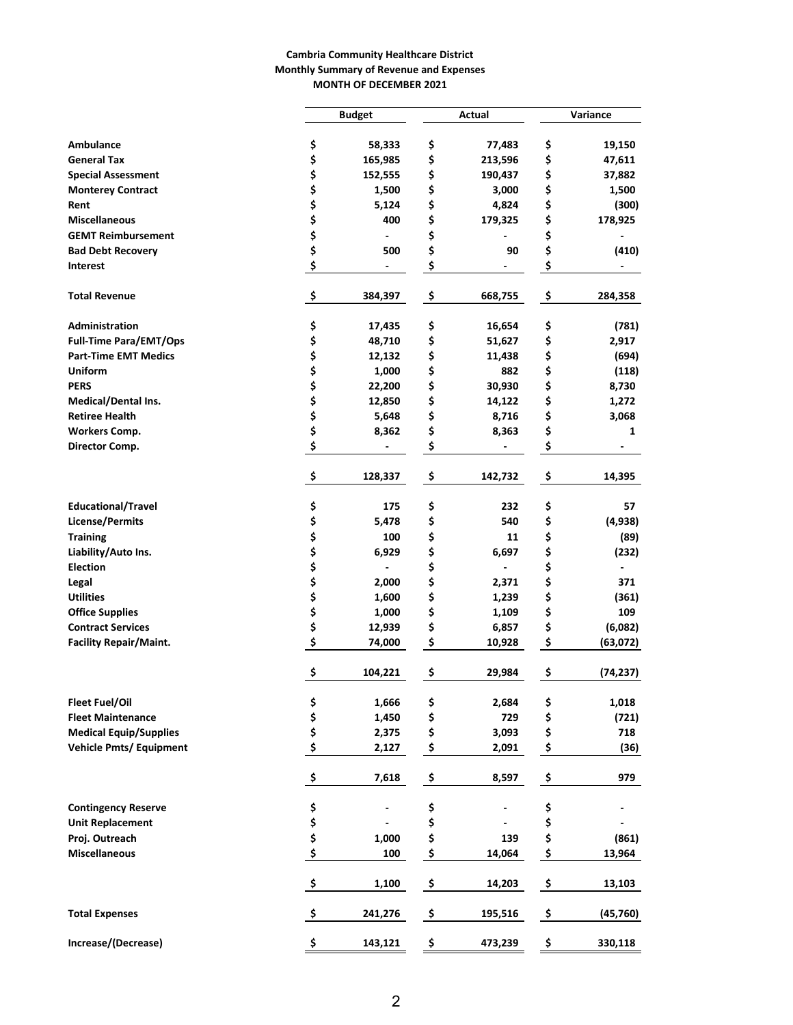## **Cambria Community Healthcare District Monthly Summary of Revenue and Expenses MONTH OF DECEMBER 2021**

|                                 |                     | <b>Budget</b> |    | Actual  | Variance |           |  |
|---------------------------------|---------------------|---------------|----|---------|----------|-----------|--|
|                                 |                     |               |    |         |          |           |  |
| Ambulance<br><b>General Tax</b> | \$                  | 58,333        | \$ | 77,483  | \$       | 19,150    |  |
|                                 | \$                  | 165,985       | \$ | 213,596 | \$       | 47,611    |  |
| <b>Special Assessment</b>       | \$<br>\$            | 152,555       | \$ | 190,437 | \$       | 37,882    |  |
| <b>Monterey Contract</b>        | \$                  | 1,500         | \$ | 3,000   | \$       | 1,500     |  |
| Rent                            | \$                  | 5,124         | \$ | 4,824   | \$       | (300)     |  |
| <b>Miscellaneous</b>            |                     | 400           | \$ | 179,325 | \$       | 178,925   |  |
| <b>GEMT Reimbursement</b>       | \$                  |               | \$ |         | \$       |           |  |
| <b>Bad Debt Recovery</b>        | \$                  | 500           | \$ | 90      | \$       | (410)     |  |
| <b>Interest</b>                 | \$                  |               | \$ |         | \$       |           |  |
| <b>Total Revenue</b>            | \$                  | 384,397       | \$ | 668,755 | \$       | 284,358   |  |
| Administration                  | \$                  | 17,435        | \$ | 16,654  | \$       | (781)     |  |
| <b>Full-Time Para/EMT/Ops</b>   | \$                  | 48,710        | \$ | 51,627  | \$       | 2,917     |  |
| <b>Part-Time EMT Medics</b>     | \$                  | 12,132        | \$ | 11,438  | \$       | (694)     |  |
| <b>Uniform</b>                  | \$                  | 1,000         | \$ | 882     | \$       | (118)     |  |
| <b>PERS</b>                     | \$                  | 22,200        | \$ | 30,930  | \$       | 8,730     |  |
| Medical/Dental Ins.             | \$                  | 12,850        | \$ | 14,122  | \$       | 1,272     |  |
| <b>Retiree Health</b>           | \$                  | 5,648         | \$ | 8,716   | \$       | 3,068     |  |
| <b>Workers Comp.</b>            | \$                  | 8,362         | \$ | 8,363   | \$       | 1         |  |
| Director Comp.                  | \$                  |               | \$ |         | \$       |           |  |
|                                 | \$                  | 128,337       | \$ | 142,732 | \$       | 14,395    |  |
| <b>Educational/Travel</b>       | \$                  | 175           | \$ | 232     | \$       | 57        |  |
| <b>License/Permits</b>          | \$                  | 5,478         | \$ | 540     | \$       | (4,938)   |  |
| <b>Training</b>                 | \$                  | 100           | \$ | 11      | \$       | (89)      |  |
| Liability/Auto Ins.             | \$                  | 6,929         | \$ | 6,697   | \$       | (232)     |  |
| <b>Election</b>                 | \$                  |               | \$ |         | \$       |           |  |
| Legal                           | \$                  | 2,000         | \$ | 2,371   | \$       | 371       |  |
| <b>Utilities</b>                | \$                  | 1,600         | \$ | 1,239   | \$       | (361)     |  |
| <b>Office Supplies</b>          | \$                  | 1,000         | \$ | 1,109   | \$       | 109       |  |
| <b>Contract Services</b>        | \$                  | 12,939        | \$ | 6,857   | \$       | (6,082)   |  |
| <b>Facility Repair/Maint.</b>   | \$                  | 74,000        | \$ | 10,928  | \$       | (63,072)  |  |
|                                 | \$                  | 104,221       | \$ | 29,984  | \$       | (74, 237) |  |
| <b>Fleet Fuel/Oil</b>           |                     | 1,666         | \$ | 2,684   | \$       | 1,018     |  |
| <b>Fleet Maintenance</b>        | \$<br>\$            | 1,450         | \$ | 729     | \$       | (721)     |  |
| <b>Medical Equip/Supplies</b>   | \$                  | 2,375         | \$ | 3,093   | \$       | 718       |  |
| <b>Vehicle Pmts/ Equipment</b>  | \$                  | 2,127         | \$ | 2,091   | \$       | (36)      |  |
|                                 | \$                  | 7,618         | \$ | 8,597   | \$       | 979       |  |
| <b>Contingency Reserve</b>      | \$                  |               | \$ |         | \$       |           |  |
| <b>Unit Replacement</b>         | \$                  |               | \$ |         | \$       |           |  |
| Proj. Outreach                  | \$                  | 1,000         | \$ | 139     | \$       | (861)     |  |
| <b>Miscellaneous</b>            | \$                  | 100           | \$ | 14,064  | \$       | 13,964    |  |
|                                 | $\ddot{\mathsf{s}}$ | 1,100         | \$ | 14,203  | \$       | 13,103    |  |
| <b>Total Expenses</b>           | -\$                 | 241,276       | \$ | 195,516 | \$       | (45, 760) |  |
| Increase/(Decrease)             | \$                  | 143,121       | \$ | 473,239 | \$       | 330,118   |  |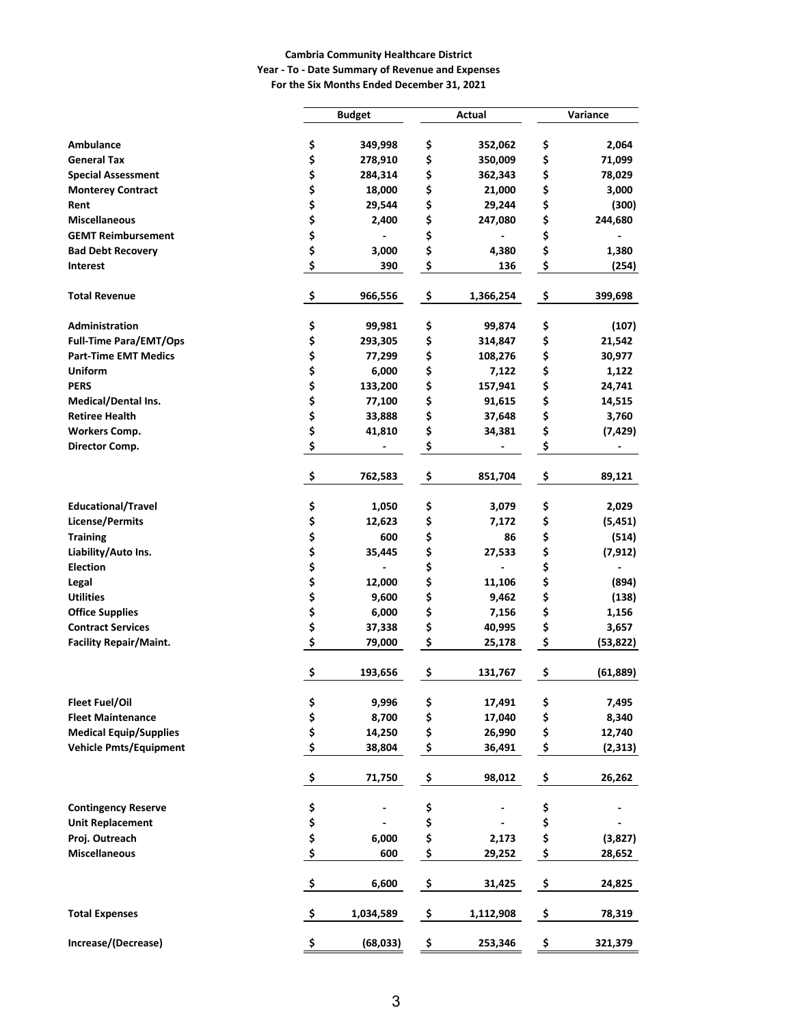## **Cambria Community Healthcare District Year - To - Date Summary of Revenue and Expenses**

**For the Six Months Ended December 31, 2021**

|                               |                     | <b>Budget</b> |    | Actual    | Variance |           |  |
|-------------------------------|---------------------|---------------|----|-----------|----------|-----------|--|
|                               |                     |               |    |           |          |           |  |
| Ambulance                     | \$                  | 349,998       | \$ | 352,062   | \$       | 2,064     |  |
| <b>General Tax</b>            | \$                  | 278,910       | \$ | 350,009   | \$       | 71,099    |  |
| <b>Special Assessment</b>     | \$                  | 284,314       | \$ | 362,343   | \$       | 78,029    |  |
| <b>Monterey Contract</b>      | \$                  | 18,000        | \$ | 21,000    | \$       | 3,000     |  |
| Rent                          | \$                  | 29,544        | \$ | 29,244    | \$       | (300)     |  |
| <b>Miscellaneous</b>          | \$                  | 2,400         | \$ | 247,080   | \$       | 244,680   |  |
| <b>GEMT Reimbursement</b>     | \$                  |               | \$ |           | \$       |           |  |
| <b>Bad Debt Recovery</b>      | \$                  | 3,000         | \$ | 4,380     | \$       | 1,380     |  |
| <b>Interest</b>               | \$                  | 390           | \$ | 136       | \$       | (254)     |  |
| <b>Total Revenue</b>          | \$                  | 966,556       | \$ | 1,366,254 | \$       | 399,698   |  |
| Administration                | \$                  | 99,981        | \$ | 99,874    | \$       | (107)     |  |
| <b>Full-Time Para/EMT/Ops</b> | \$                  | 293,305       | \$ | 314,847   | \$       | 21,542    |  |
| <b>Part-Time EMT Medics</b>   | \$                  | 77,299        | \$ | 108,276   | \$       | 30,977    |  |
| <b>Uniform</b>                | \$                  | 6,000         | \$ | 7,122     | \$       | 1,122     |  |
| <b>PERS</b>                   | \$                  | 133,200       | \$ | 157,941   | \$       | 24,741    |  |
| <b>Medical/Dental Ins.</b>    | \$                  | 77,100        | \$ | 91,615    | \$       | 14,515    |  |
| <b>Retiree Health</b>         | \$                  | 33,888        | \$ | 37,648    | \$       | 3,760     |  |
| <b>Workers Comp.</b>          | \$                  | 41,810        | \$ | 34,381    | \$       | (7, 429)  |  |
| Director Comp.                | \$                  |               | \$ |           | \$       |           |  |
|                               | \$                  | 762,583       | \$ | 851,704   | \$       | 89,121    |  |
| <b>Educational/Travel</b>     | \$                  | 1,050         | \$ | 3,079     | \$       | 2,029     |  |
| <b>License/Permits</b>        | \$                  | 12,623        | \$ | 7,172     | \$       | (5, 451)  |  |
| <b>Training</b>               | \$                  | 600           | \$ | 86        | \$       | (514)     |  |
| Liability/Auto Ins.           | \$                  | 35,445        | \$ | 27,533    | \$       | (7, 912)  |  |
| <b>Election</b>               | \$                  |               | \$ |           | \$       |           |  |
| Legal                         | \$                  | 12,000        | \$ | 11,106    | \$       | (894)     |  |
| <b>Utilities</b>              | \$                  | 9,600         | \$ | 9,462     | \$       | (138)     |  |
| <b>Office Supplies</b>        | \$                  | 6,000         | \$ | 7,156     | \$       | 1,156     |  |
| <b>Contract Services</b>      | \$                  | 37,338        | \$ | 40,995    | \$       | 3,657     |  |
| <b>Facility Repair/Maint.</b> | \$                  | 79,000        | \$ | 25,178    | \$       | (53, 822) |  |
|                               | \$                  | 193,656       | \$ | 131,767   | \$       | (61, 889) |  |
| <b>Fleet Fuel/Oil</b>         | \$                  | 9,996         | \$ | 17,491    | \$       | 7,495     |  |
| <b>Fleet Maintenance</b>      | \$                  | 8,700         | \$ | 17,040    | \$       | 8,340     |  |
| <b>Medical Equip/Supplies</b> | \$                  | 14,250        | \$ | 26,990    | \$       | 12,740    |  |
| <b>Vehicle Pmts/Equipment</b> | \$                  | 38,804        | \$ | 36,491    | \$       | (2, 313)  |  |
|                               | \$                  | 71,750        | \$ | 98,012    | \$       | 26,262    |  |
| <b>Contingency Reserve</b>    | \$                  |               | \$ |           | \$       |           |  |
| <b>Unit Replacement</b>       | \$                  |               | \$ |           | \$       |           |  |
| Proj. Outreach                | \$                  | 6,000         | \$ | 2,173     | \$       | (3,827)   |  |
| <b>Miscellaneous</b>          | \$                  | 600           | \$ | 29,252    | \$       | 28,652    |  |
|                               | $\ddot{\bm{s}}$     | 6,600         | \$ | 31,425    | \$       | 24,825    |  |
| <b>Total Expenses</b>         | $\ddot{\bm{\zeta}}$ | 1,034,589     | \$ | 1,112,908 | \$       | 78,319    |  |
| Increase/(Decrease)           | \$                  | (68, 033)     | \$ | 253,346   | \$       | 321,379   |  |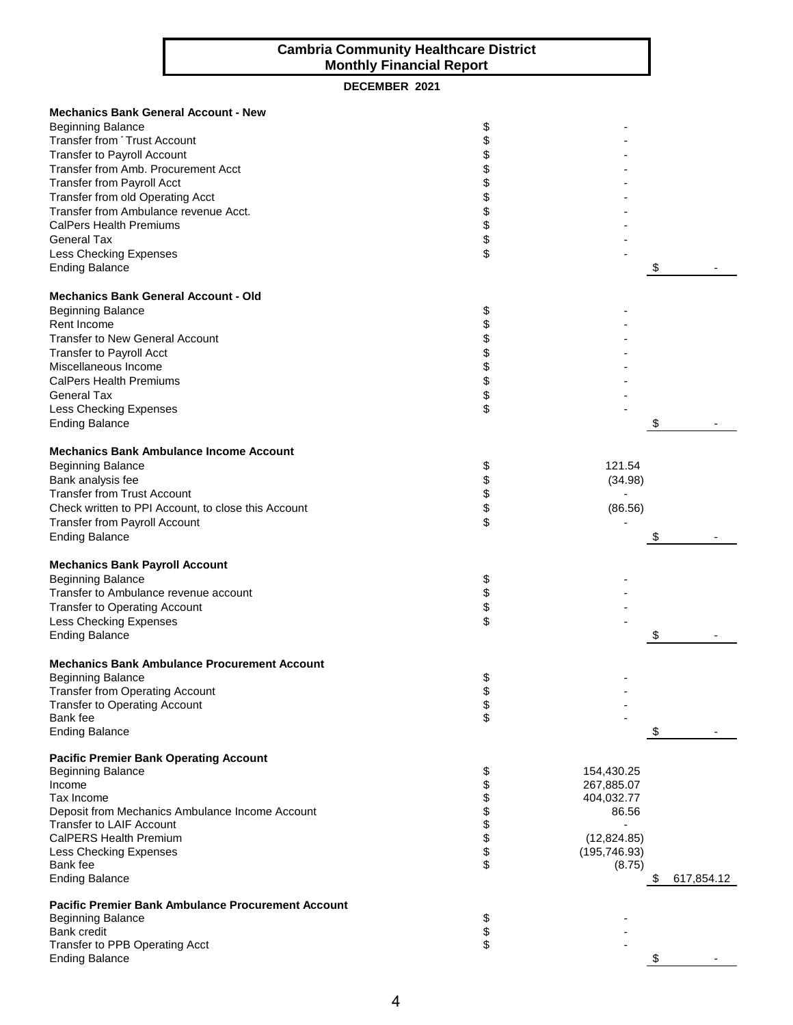## **Cambria Community Healthcare District Monthly Financial Report**

## **DECEMBER 2021**

| <b>Mechanics Bank General Account - New</b><br><b>Beginning Balance</b><br>Transfer from Trust Account<br><b>Transfer to Payroll Account</b><br>Transfer from Amb. Procurement Acct<br><b>Transfer from Payroll Acct</b><br>Transfer from old Operating Acct<br>Transfer from Ambulance revenue Acct.<br><b>CalPers Health Premiums</b><br><b>General Tax</b><br>Less Checking Expenses<br><b>Ending Balance</b> | \$<br>\$<br>\$\$\$\$\$\$\$<br>\$ |                     | \$               |
|------------------------------------------------------------------------------------------------------------------------------------------------------------------------------------------------------------------------------------------------------------------------------------------------------------------------------------------------------------------------------------------------------------------|----------------------------------|---------------------|------------------|
| <b>Mechanics Bank General Account - Old</b><br><b>Beginning Balance</b>                                                                                                                                                                                                                                                                                                                                          | \$                               |                     |                  |
| Rent Income                                                                                                                                                                                                                                                                                                                                                                                                      |                                  |                     |                  |
| <b>Transfer to New General Account</b>                                                                                                                                                                                                                                                                                                                                                                           | \$\$\$\$\$\$\$                   |                     |                  |
| <b>Transfer to Payroll Acct</b>                                                                                                                                                                                                                                                                                                                                                                                  |                                  |                     |                  |
| Miscellaneous Income<br><b>CalPers Health Premiums</b>                                                                                                                                                                                                                                                                                                                                                           |                                  |                     |                  |
| <b>General Tax</b>                                                                                                                                                                                                                                                                                                                                                                                               |                                  |                     |                  |
| Less Checking Expenses                                                                                                                                                                                                                                                                                                                                                                                           | \$                               |                     |                  |
| <b>Ending Balance</b>                                                                                                                                                                                                                                                                                                                                                                                            |                                  |                     | \$               |
|                                                                                                                                                                                                                                                                                                                                                                                                                  |                                  |                     |                  |
| <b>Mechanics Bank Ambulance Income Account</b>                                                                                                                                                                                                                                                                                                                                                                   |                                  |                     |                  |
| <b>Beginning Balance</b><br>Bank analysis fee                                                                                                                                                                                                                                                                                                                                                                    | \$                               | 121.54<br>(34.98)   |                  |
| <b>Transfer from Trust Account</b>                                                                                                                                                                                                                                                                                                                                                                               |                                  |                     |                  |
| Check written to PPI Account, to close this Account                                                                                                                                                                                                                                                                                                                                                              | \$\$\$\$                         | (86.56)             |                  |
| <b>Transfer from Payroll Account</b>                                                                                                                                                                                                                                                                                                                                                                             |                                  |                     |                  |
| <b>Ending Balance</b>                                                                                                                                                                                                                                                                                                                                                                                            |                                  |                     | \$               |
| <b>Mechanics Bank Payroll Account</b>                                                                                                                                                                                                                                                                                                                                                                            |                                  |                     |                  |
| <b>Beginning Balance</b>                                                                                                                                                                                                                                                                                                                                                                                         | \$                               |                     |                  |
| Transfer to Ambulance revenue account                                                                                                                                                                                                                                                                                                                                                                            |                                  |                     |                  |
| <b>Transfer to Operating Account</b>                                                                                                                                                                                                                                                                                                                                                                             | \$                               |                     |                  |
| <b>Less Checking Expenses</b>                                                                                                                                                                                                                                                                                                                                                                                    | \$                               |                     |                  |
| <b>Ending Balance</b>                                                                                                                                                                                                                                                                                                                                                                                            |                                  |                     | \$               |
| <b>Mechanics Bank Ambulance Procurement Account</b>                                                                                                                                                                                                                                                                                                                                                              |                                  |                     |                  |
| <b>Beginning Balance</b>                                                                                                                                                                                                                                                                                                                                                                                         | \$                               |                     |                  |
| <b>Transfer from Operating Account</b>                                                                                                                                                                                                                                                                                                                                                                           |                                  |                     |                  |
| <b>Transfer to Operating Account</b>                                                                                                                                                                                                                                                                                                                                                                             | \$<br>\$                         |                     |                  |
| Bank fee                                                                                                                                                                                                                                                                                                                                                                                                         |                                  |                     |                  |
| <b>Ending Balance</b>                                                                                                                                                                                                                                                                                                                                                                                            |                                  |                     | \$               |
| <b>Pacific Premier Bank Operating Account</b>                                                                                                                                                                                                                                                                                                                                                                    |                                  |                     |                  |
| <b>Beginning Balance</b>                                                                                                                                                                                                                                                                                                                                                                                         | \$                               | 154,430.25          |                  |
| Income                                                                                                                                                                                                                                                                                                                                                                                                           |                                  | 267,885.07          |                  |
| Tax Income<br>Deposit from Mechanics Ambulance Income Account                                                                                                                                                                                                                                                                                                                                                    | <b>8888888</b>                   | 404,032.77<br>86.56 |                  |
| Transfer to LAIF Account                                                                                                                                                                                                                                                                                                                                                                                         |                                  |                     |                  |
| <b>CalPERS Health Premium</b>                                                                                                                                                                                                                                                                                                                                                                                    |                                  | (12, 824.85)        |                  |
| Less Checking Expenses                                                                                                                                                                                                                                                                                                                                                                                           |                                  | (195, 746.93)       |                  |
| Bank fee                                                                                                                                                                                                                                                                                                                                                                                                         |                                  | (8.75)              |                  |
| <b>Ending Balance</b>                                                                                                                                                                                                                                                                                                                                                                                            |                                  |                     | \$<br>617,854.12 |
| <b>Pacific Premier Bank Ambulance Procurement Account</b>                                                                                                                                                                                                                                                                                                                                                        |                                  |                     |                  |
| <b>Beginning Balance</b>                                                                                                                                                                                                                                                                                                                                                                                         |                                  |                     |                  |
| <b>Bank credit</b>                                                                                                                                                                                                                                                                                                                                                                                               | \$<br>\$                         |                     |                  |
| Transfer to PPB Operating Acct<br><b>Ending Balance</b>                                                                                                                                                                                                                                                                                                                                                          |                                  |                     | \$               |